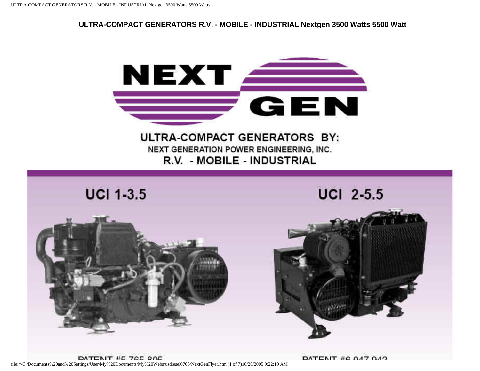**ULTRA-COMPACT GENERATORS R.V. - MOBILE - INDUSTRIAL Nextgen 3500 Watts 5500 Watt**





DATENIT  $\#C$  047.049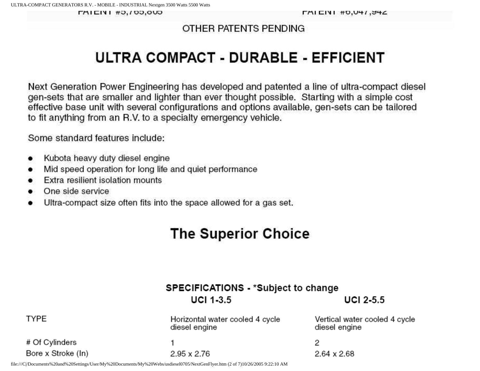**FAILIVI #0,700,000** 

### OTHER PATENTS PENDING

# ULTRA COMPACT - DURABLE - EFFICIENT

Next Generation Power Engineering has developed and patented a line of ultra-compact diesel gen-sets that are smaller and lighter than ever thought possible. Starting with a simple cost effective base unit with several configurations and options available, gen-sets can be tailored to fit anything from an R.V. to a specialty emergency vehicle.

Some standard features include:

- Kubota heavy duty diesel engine ٠
- Mid speed operation for long life and quiet performance
- Extra resilient isolation mounts
- One side service
- Ultra-compact size often fits into the space allowed for a gas set.

# **The Superior Choice**

Horizontal water cooled 4 cycle

# SPECIFICATIONS - \*Subject to change  $UCI$  1-3.5

UCI  $2-5.5$ 

Vertical water cooled 4 cycle

**TYPE** 

# Of Cylinders Bore x Stroke (In)

1 2.95 x 2.76

diesel engine

2  $2.64 \times 2.68$ 

diesel engine

file:///C|/Documents%20and%20Settings/User/My%20Documents/My%20Webs/usdiesel0705/NextGenFlyer.htm (2 of 7)10/26/2005 9:22:10 AM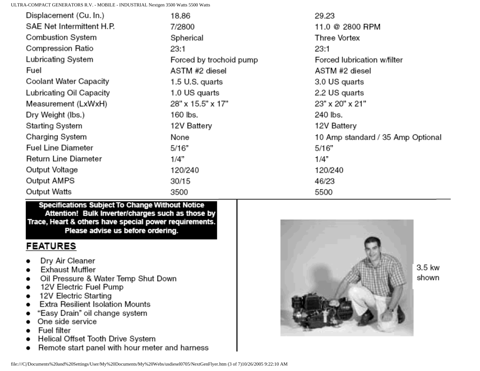ULTRA-COMPACT GENERATORS R.V. - MOBILE - INDUSTRIAL Nextgen 3500 Watts 5500 Watts

| Displacement (Cu. In.)    | 18.86                   | 29.23                             |
|---------------------------|-------------------------|-----------------------------------|
| SAE Net Intermittent H.P. | 7/2800                  | 11.0 @ 2800 RPM                   |
| Combustion System         | Spherical               | Three Vortex                      |
| Compression Ratio         | 23:1                    | 23:1                              |
| Lubricating System        | Forced by trochoid pump | Forced lubrication w/filter       |
| Fuel                      | ASTM #2 diesel          | ASTM #2 diesel                    |
| Coolant Water Capacity    | 1.5 U.S. quarts         | 3.0 US quarts                     |
| Lubricating Oil Capacity  | 1.0 US quarts           | 2.2 US quarts                     |
| Measurement (LxWxH)       | 28" x 15.5" x 17"       | 23" x 20" x 21"                   |
| Dry Weight (lbs.)         | 160 lbs.                | 240 lbs.                          |
| Starting System           | 12V Battery             | 12V Battery                       |
| Charging System           | None                    | 10 Amp standard / 35 Amp Optional |
| Fuel Line Diameter        | 5/16"                   | 5/16"                             |
| Return Line Diameter      | 1/4"                    | 1/4"                              |
| Output Voltage            | 120/240                 | 120/240                           |
| Output AMPS               | 30/15                   | 46/23                             |
| Output Watts              | 3500                    | 5500                              |

Specifications Subject To Change Without Notice Attention! Bulk Inverter/charges such as those by Trace, Heart & others have special power requirements. Please advise us before ordering.

## **FEATURES**

- Dry Air Cleaner
- **Exhaust Muffler**
- Oil Pressure & Water Temp Shut Down
- 12V Electric Fuel Pump
- 12V Electric Starting
- Extra Resilient Isolation Mounts
- "Easy Drain" oil change system
- One side service
- Fuel filter
- Helical Offset Tooth Drive System
- Remote start panel with hour meter and harness



3.5 kw shown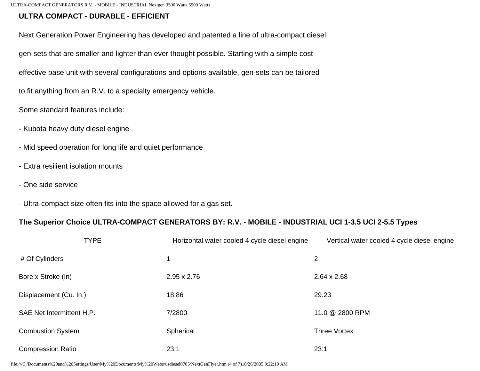#### **ULTRA COMPACT - DURABLE - EFFICIENT**

Next Generation Power Engineering has developed and patented a line of ultra-compact diesel

gen-sets that are smaller and lighter than ever thought possible. Starting with a simple cost

effective base unit with several configurations and options available, gen-sets can be tailored

to fit anything from an R.V. to a specialty emergency vehicle.

Some standard features include:

- Kubota heavy duty diesel engine
- Mid speed operation for long life and quiet performance
- Extra resilient isolation mounts
- One side service
- Ultra-compact size often fits into the space allowed for a gas set.

#### **The Superior Choice ULTRA-COMPACT GENERATORS BY: R.V. - MOBILE - INDUSTRIAL UCI 1-3.5 UCI 2-5.5 Types**

| <b>TYPE</b>               | Horizontal water cooled 4 cycle diesel engine | Vertical water cooled 4 cycle diesel engine |
|---------------------------|-----------------------------------------------|---------------------------------------------|
| # Of Cylinders            |                                               | $\overline{2}$                              |
| Bore x Stroke (In)        | $2.95 \times 2.76$                            | $2.64 \times 2.68$                          |
| Displacement (Cu. In.)    | 18.86                                         | 29.23                                       |
| SAE Net Intermittent H.P. | 7/2800                                        | 11.0 @ 2800 RPM                             |
| <b>Combustion System</b>  | Spherical                                     | <b>Three Vortex</b>                         |
| <b>Compression Ratio</b>  | 23:1                                          | 23:1                                        |

file:///C|/Documents%20and%20Settings/User/My%20Documents/My%20Webs/usdiesel0705/NextGenFlyer.htm (4 of 7)10/26/2005 9:22:10 AM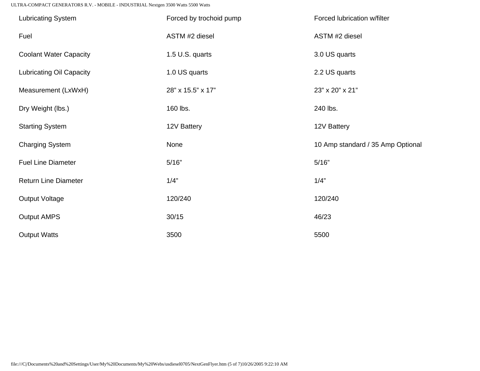ULTRA-COMPACT GENERATORS R.V. - MOBILE - INDUSTRIAL Nextgen 3500 Watts 5500 Watts

| <b>Lubricating System</b>       | Forced by trochoid pump | Forced lubrication w/filter       |
|---------------------------------|-------------------------|-----------------------------------|
| Fuel                            | ASTM #2 diesel          | ASTM #2 diesel                    |
| <b>Coolant Water Capacity</b>   | 1.5 U.S. quarts         | 3.0 US quarts                     |
| <b>Lubricating Oil Capacity</b> | 1.0 US quarts           | 2.2 US quarts                     |
| Measurement (LxWxH)             | 28" x 15.5" x 17"       | 23" x 20" x 21"                   |
| Dry Weight (lbs.)               | 160 lbs.                | 240 lbs.                          |
| <b>Starting System</b>          | 12V Battery             | 12V Battery                       |
| <b>Charging System</b>          | None                    | 10 Amp standard / 35 Amp Optional |
| <b>Fuel Line Diameter</b>       | 5/16"                   | 5/16"                             |
| <b>Return Line Diameter</b>     | 1/4"                    | 1/4"                              |
| <b>Output Voltage</b>           | 120/240                 | 120/240                           |
| <b>Output AMPS</b>              | 30/15                   | 46/23                             |
| <b>Output Watts</b>             | 3500                    | 5500                              |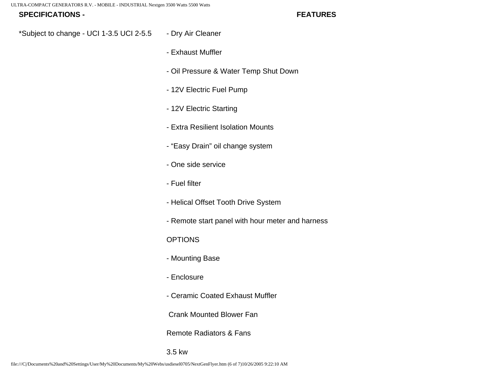#### **SPECIFICATIONS -**

**FEATURES**

- \*Subject to change UCI 1-3.5 UCI 2-5.5 - Dry Air Cleaner
	- Exhaust Muffler
	- Oil Pressure & Water Temp Shut Down
	- 12V Electric Fuel Pump
	- 12V Electric Starting
	- Extra Resilient Isolation Mounts
	- "Easy Drain" oil change system
	- One side service
	- Fuel filter
	- Helical Offset Tooth Drive System
	- Remote start panel with hour meter and harness

#### **OPTIONS**

- Mounting Base
- Enclosure
- Ceramic Coated Exhaust Muffler

Crank Mounted Blower Fan

Remote Radiators & Fans

3.5 kw